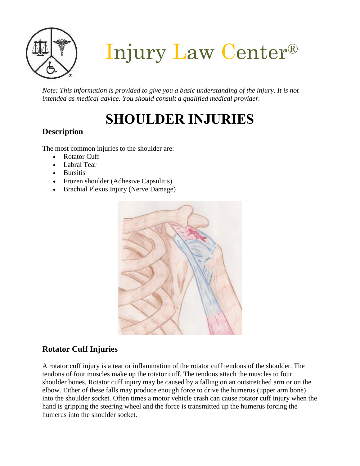

Injury Law Center®

*Note: This information is provided to give you a basic understanding of the injury. It is not intended as medical advice. You should consult a qualified medical provider.*

# **SHOULDER INJURIES**

# **Description**

The most common injuries to the shoulder are:

- Rotator Cuff
- Labral Tear
- Bursitis
- Frozen shoulder (Adhesive Capsulitis)
- Brachial Plexus Injury (Nerve Damage)



# **Rotator Cuff Injuries**

A rotator cuff injury is a tear or inflammation of the rotator cuff tendons of the shoulder. The tendons of four muscles make up the rotator cuff. The tendons attach the muscles to four shoulder bones. Rotator cuff injury may be caused by a falling on an outstretched arm or on the elbow. Either of these falls may produce enough force to drive the humerus (upper arm bone) into the shoulder socket. Often times a motor vehicle crash can cause rotator cuff injury when the hand is gripping the steering wheel and the force is transmitted up the humerus forcing the humerus into the shoulder socket.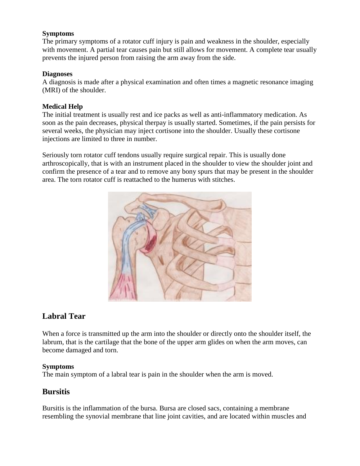#### **Symptoms**

The primary symptoms of a rotator cuff injury is pain and weakness in the shoulder, especially with movement. A partial tear causes pain but still allows for movement. A complete tear usually prevents the injured person from raising the arm away from the side.

#### **Diagnoses**

A diagnosis is made after a physical examination and often times a magnetic resonance imaging (MRI) of the shoulder.

#### **Medical Help**

The initial treatment is usually rest and ice packs as well as anti-inflammatory medication. As soon as the pain decreases, physical therpay is usually started. Sometimes, if the pain persists for several weeks, the physician may inject cortisone into the shoulder. Usually these cortisone injections are limited to three in number.

Seriously torn rotator cuff tendons usually require surgical repair. This is usually done arthroscopically, that is with an instrument placed in the shoulder to view the shoulder joint and confirm the presence of a tear and to remove any bony spurs that may be present in the shoulder area. The torn rotator cuff is reattached to the humerus with stitches.



## **Labral Tear**

When a force is transmitted up the arm into the shoulder or directly onto the shoulder itself, the labrum, that is the cartilage that the bone of the upper arm glides on when the arm moves, can become damaged and torn.

#### **Symptoms**

The main symptom of a labral tear is pain in the shoulder when the arm is moved.

# **Bursitis**

Bursitis is the inflammation of the bursa. Bursa are closed sacs, containing a membrane resembling the synovial membrane that line joint cavities, and are located within muscles and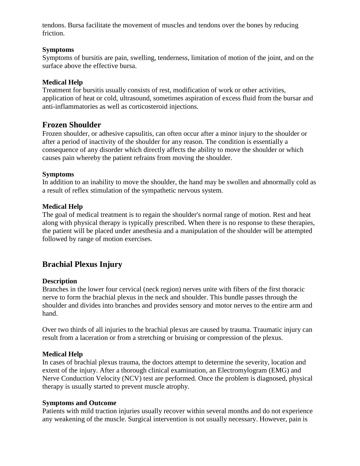tendons. Bursa facilitate the movement of muscles and tendons over the bones by reducing friction.

#### **Symptoms**

Symptoms of bursitis are pain, swelling, tenderness, limitation of motion of the joint, and on the surface above the effective bursa.

#### **Medical Help**

Treatment for bursitis usually consists of rest, modification of work or other activities, application of heat or cold, ultrasound, sometimes aspiration of excess fluid from the bursar and anti-inflammatories as well as corticosteroid injections.

## **Frozen Shoulder**

Frozen shoulder, or adhesive capsulitis, can often occur after a minor injury to the shoulder or after a period of inactivity of the shoulder for any reason. The condition is essentially a consequence of any disorder which directly affects the ability to move the shoulder or which causes pain whereby the patient refrains from moving the shoulder.

#### **Symptoms**

In addition to an inability to move the shoulder, the hand may be swollen and abnormally cold as a result of reflex stimulation of the sympathetic nervous system.

#### **Medical Help**

The goal of medical treatment is to regain the shoulder's normal range of motion. Rest and heat along with physical therapy is typically prescribed. When there is no response to these therapies, the patient will be placed under anesthesia and a manipulation of the shoulder will be attempted followed by range of motion exercises.

# **Brachial Plexus Injury**

#### **Description**

Branches in the lower four cervical (neck region) nerves unite with fibers of the first thoracic nerve to form the brachial plexus in the neck and shoulder. This bundle passes through the shoulder and divides into branches and provides sensory and motor nerves to the entire arm and hand.

Over two thirds of all injuries to the brachial plexus are caused by trauma. Traumatic injury can result from a laceration or from a stretching or bruising or compression of the plexus.

#### **Medical Help**

In cases of brachial plexus trauma, the doctors attempt to determine the severity, location and extent of the injury. After a thorough clinical examination, an Electromylogram (EMG) and Nerve Conduction Velocity (NCV) test are performed. Once the problem is diagnosed, physical therapy is usually started to prevent muscle atrophy.

#### **Symptoms and Outcome**

Patients with mild traction injuries usually recover within several months and do not experience any weakening of the muscle. Surgical intervention is not usually necessary. However, pain is